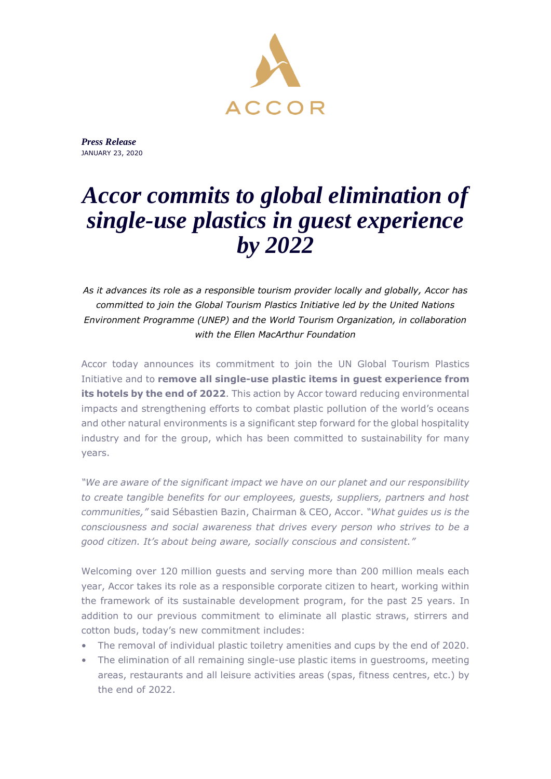

*Press Release* JANUARY 23, 2020

## *Accor commits to global elimination of single-use plastics in guest experience by 2022*

*As it advances its role as a responsible tourism provider locally and globally, Accor has committed to join the Global Tourism Plastics Initiative led by the United Nations Environment Programme (UNEP) and the World Tourism Organization, in collaboration with the Ellen MacArthur Foundation*

Accor today announces its commitment to join the UN Global Tourism Plastics Initiative and to **remove all single-use plastic items in guest experience from its hotels by the end of 2022**. This action by Accor toward reducing environmental impacts and strengthening efforts to combat plastic pollution of the world's oceans and other natural environments is a significant step forward for the global hospitality industry and for the group, which has been committed to sustainability for many years.

*"We are aware of the significant impact we have on our planet and our responsibility to create tangible benefits for our employees, guests, suppliers, partners and host communities,"* said Sébastien Bazin, Chairman & CEO, Accor. *"What guides us is the consciousness and social awareness that drives every person who strives to be a good citizen. It's about being aware, socially conscious and consistent."*

Welcoming over 120 million guests and serving more than 200 million meals each year, Accor takes its role as a responsible corporate citizen to heart, working within the framework of its sustainable development program, for the past 25 years. In addition to our previous commitment to eliminate all plastic straws, stirrers and cotton buds, today's new commitment includes:

- The removal of individual plastic toiletry amenities and cups by the end of 2020.
- The elimination of all remaining single-use plastic items in guestrooms, meeting areas, restaurants and all leisure activities areas (spas, fitness centres, etc.) by the end of 2022.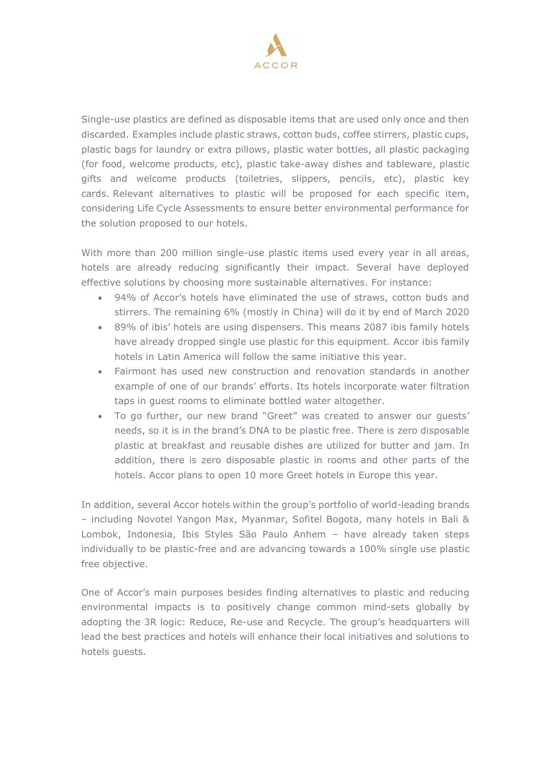

Single-use plastics are defined as disposable items that are used only once and then discarded. Examples include plastic straws, cotton buds, coffee stirrers, plastic cups, plastic bags for laundry or extra pillows, plastic water bottles, all plastic packaging (for food, welcome products, etc), plastic take-away dishes and tableware, plastic gifts and welcome products (toiletries, slippers, pencils, etc), plastic key cards. Relevant alternatives to plastic will be proposed for each specific item, considering Life Cycle Assessments to ensure better environmental performance for the solution proposed to our hotels.

With more than 200 million single-use plastic items used every year in all areas, hotels are already reducing significantly their impact. Several have deployed effective solutions by choosing more sustainable alternatives. For instance:

- 94% of Accor's hotels have eliminated the use of straws, cotton buds and stirrers. The remaining 6% (mostly in China) will do it by end of March 2020
- 89% of ibis' hotels are using dispensers. This means 2087 ibis family hotels have already dropped single use plastic for this equipment. Accor ibis family hotels in Latin America will follow the same initiative this year.
- Fairmont has used new construction and renovation standards in another example of one of our brands' efforts. Its hotels incorporate water filtration taps in guest rooms to eliminate bottled water altogether.
- To go further, our new brand "Greet" was created to answer our guests' needs, so it is in the brand's DNA to be plastic free. There is zero disposable plastic at breakfast and reusable dishes are utilized for butter and jam. In addition, there is zero disposable plastic in rooms and other parts of the hotels. Accor plans to open 10 more Greet hotels in Europe this year.

In addition, several Accor hotels within the group's portfolio of world-leading brands – including Novotel Yangon Max, Myanmar, Sofitel Bogota, many hotels in Bali & Lombok, Indonesia, Ibis Styles São Paulo Anhem – have already taken steps individually to be plastic-free and are advancing towards a 100% single use plastic free objective.

One of Accor's main purposes besides finding alternatives to plastic and reducing environmental impacts is to positively change common mind-sets globally by adopting the 3R logic: Reduce, Re-use and Recycle. The group's headquarters will lead the best practices and hotels will enhance their local initiatives and solutions to hotels guests.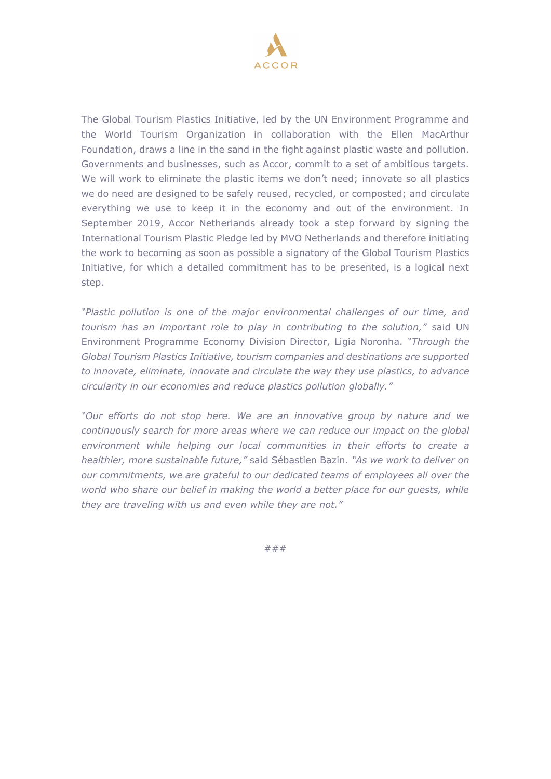

The Global Tourism Plastics Initiative, led by the UN Environment Programme and the World Tourism Organization in collaboration with the Ellen MacArthur Foundation, draws a line in the sand in the fight against plastic waste and pollution. Governments and businesses, such as Accor, commit to a set of ambitious targets. We will work to eliminate the plastic items we don't need; innovate so all plastics we do need are designed to be safely reused, recycled, or composted; and circulate everything we use to keep it in the economy and out of the environment. In September 2019, Accor Netherlands already took a step forward by signing the International Tourism Plastic Pledge led by MVO Netherlands and therefore initiating the work to becoming as soon as possible a signatory of the Global Tourism Plastics Initiative, for which a detailed commitment has to be presented, is a logical next step.

*"Plastic pollution is one of the major environmental challenges of our time, and tourism has an important role to play in contributing to the solution,"* said UN Environment Programme Economy Division Director, Ligia Noronha. *"Through the Global Tourism Plastics Initiative, tourism companies and destinations are supported to innovate, eliminate, innovate and circulate the way they use plastics, to advance circularity in our economies and reduce plastics pollution globally."*

*"Our efforts do not stop here. We are an innovative group by nature and we continuously search for more areas where we can reduce our impact on the global environment while helping our local communities in their efforts to create a healthier, more sustainable future,"* said Sébastien Bazin. *"As we work to deliver on our commitments, we are grateful to our dedicated teams of employees all over the world who share our belief in making the world a better place for our guests, while they are traveling with us and even while they are not."*

###